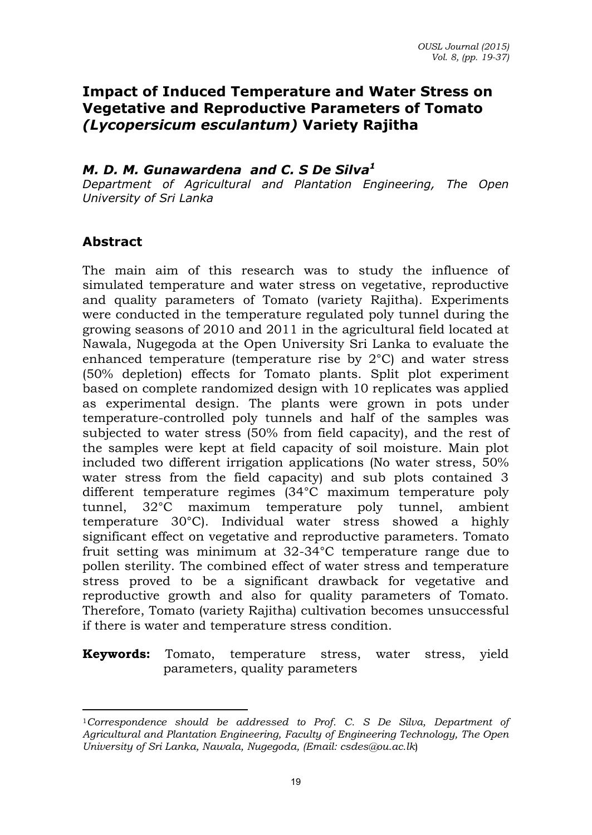# **Impact of Induced Temperature and Water Stress on Vegetative and Reproductive Parameters of Tomato** *(Lycopersicum esculantum)* **Variety Rajitha**

### *M. D. M. Gunawardena and C. S De Silva<sup>1</sup>*

*Department of Agricultural and Plantation Engineering, The Open University of Sri Lanka* 

### **Abstract**

 $\overline{a}$ 

The main aim of this research was to study the influence of simulated temperature and water stress on vegetative, reproductive and quality parameters of Tomato (variety Rajitha). Experiments were conducted in the temperature regulated poly tunnel during the growing seasons of 2010 and 2011 in the agricultural field located at Nawala, Nugegoda at the Open University Sri Lanka to evaluate the enhanced temperature (temperature rise by 2°C) and water stress (50% depletion) effects for Tomato plants. Split plot experiment based on complete randomized design with 10 replicates was applied as experimental design. The plants were grown in pots under temperature-controlled poly tunnels and half of the samples was subjected to water stress (50% from field capacity), and the rest of the samples were kept at field capacity of soil moisture. Main plot included two different irrigation applications (No water stress, 50% water stress from the field capacity) and sub plots contained 3 different temperature regimes (34°C maximum temperature poly tunnel, 32°C maximum temperature poly tunnel, ambient temperature 30°C). Individual water stress showed a highly significant effect on vegetative and reproductive parameters. Tomato fruit setting was minimum at 32-34°C temperature range due to pollen sterility. The combined effect of water stress and temperature stress proved to be a significant drawback for vegetative and reproductive growth and also for quality parameters of Tomato. Therefore, Tomato (variety Rajitha) cultivation becomes unsuccessful if there is water and temperature stress condition.

### **Keywords:** Tomato, temperature stress, water stress, yield parameters, quality parameters

<sup>1</sup>*Correspondence should be addressed to Prof. C. S De Silva, Department of Agricultural and Plantation Engineering, Faculty of Engineering Technology, The Open University of Sri Lanka, Nawala, Nugegoda, (Email: csdes@ou.ac.lk*)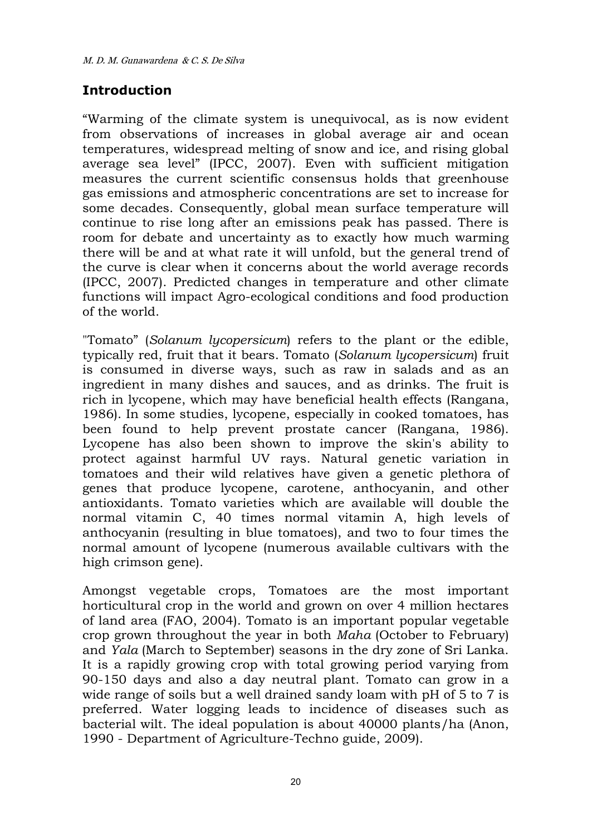# **Introduction**

"Warming of the climate system is unequivocal, as is now evident from observations of increases in global average air and ocean temperatures, widespread melting of snow and ice, and rising global average sea level" (IPCC, 2007). Even with sufficient mitigation measures the current scientific consensus holds that greenhouse gas emissions and atmospheric concentrations are set to increase for some decades. Consequently, global mean surface temperature will continue to rise long after an emissions peak has passed. There is room for debate and uncertainty as to exactly how much warming there will be and at what rate it will unfold, but the general trend of the curve is clear when it concerns about the world average records (IPCC, 2007). Predicted changes in temperature and other climate functions will impact Agro-ecological conditions and food production of the world.

"Tomato" (*Solanum lycopersicum*) refers to the plant or the edible, typically red, fruit that it bears. Tomato (*Solanum lycopersicum*) fruit is consumed in diverse ways, such as raw in salads and as an ingredient in many dishes and sauces, and as drinks. The fruit is rich in lycopene, which may have beneficial health effects (Rangana, 1986). In some studies, lycopene, especially in cooked tomatoes, has been found to help prevent prostate cancer (Rangana, 1986). Lycopene has also been shown to improve the skin's ability to protect against harmful UV rays. Natural genetic variation in tomatoes and their wild relatives have given a genetic plethora of genes that produce lycopene, carotene, anthocyanin, and other antioxidants. Tomato varieties which are available will double the normal vitamin C, 40 times normal vitamin A, high levels of anthocyanin (resulting in blue tomatoes), and two to four times the normal amount of lycopene (numerous available cultivars with the high crimson gene).

Amongst vegetable crops, Tomatoes are the most important horticultural crop in the world and grown on over 4 million hectares of land area (FAO, 2004). Tomato is an important popular vegetable crop grown throughout the year in both *Maha* (October to February) and *Yala* (March to September) seasons in the dry zone of Sri Lanka. It is a rapidly growing crop with total growing period varying from 90-150 days and also a day neutral plant. Tomato can grow in a wide range of soils but a well drained sandy loam with pH of 5 to 7 is preferred. Water logging leads to incidence of diseases such as bacterial wilt. The ideal population is about 40000 plants/ha (Anon, 1990 - Department of Agriculture-Techno guide, 2009).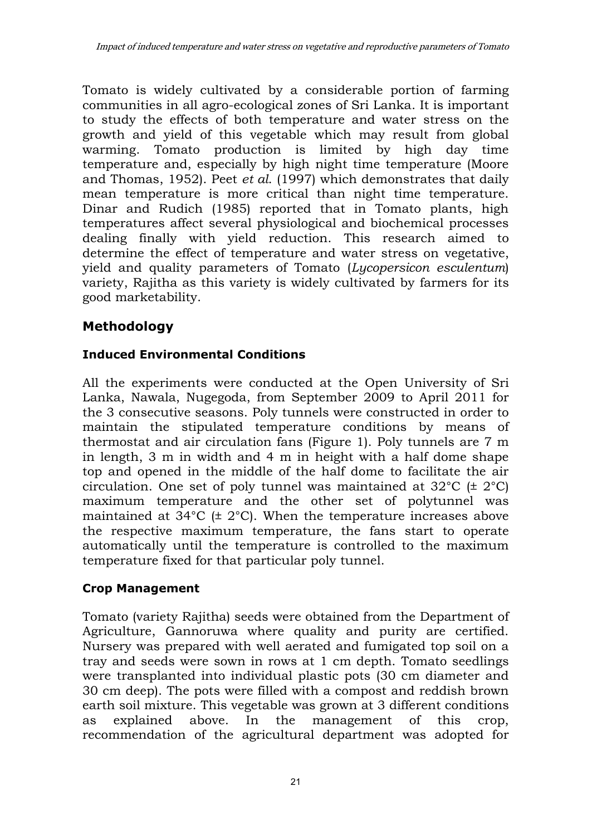Tomato is widely cultivated by a considerable portion of farming communities in all agro-ecological zones of Sri Lanka. It is important to study the effects of both temperature and water stress on the growth and yield of this vegetable which may result from global warming. Tomato production is limited by high day time temperature and, especially by high night time temperature (Moore and Thomas, 1952). Peet *et al*. (1997) which demonstrates that daily mean temperature is more critical than night time temperature. Dinar and Rudich (1985) reported that in Tomato plants, high temperatures affect several physiological and biochemical processes dealing finally with yield reduction. This research aimed to determine the effect of temperature and water stress on vegetative, yield and quality parameters of Tomato (*Lycopersicon esculentum*) variety, Rajitha as this variety is widely cultivated by farmers for its good marketability.

# **Methodology**

# **Induced Environmental Conditions**

All the experiments were conducted at the Open University of Sri Lanka, Nawala, Nugegoda, from September 2009 to April 2011 for the 3 consecutive seasons. Poly tunnels were constructed in order to maintain the stipulated temperature conditions by means of thermostat and air circulation fans (Figure 1). Poly tunnels are 7 m in length, 3 m in width and 4 m in height with a half dome shape top and opened in the middle of the half dome to facilitate the air circulation. One set of poly tunnel was maintained at  $32^{\circ}C$  ( $\pm 2^{\circ}C$ ) maximum temperature and the other set of polytunnel was maintained at 34°C (± 2°C). When the temperature increases above the respective maximum temperature, the fans start to operate automatically until the temperature is controlled to the maximum temperature fixed for that particular poly tunnel.

# **Crop Management**

Tomato (variety Rajitha) seeds were obtained from the Department of Agriculture, Gannoruwa where quality and purity are certified. Nursery was prepared with well aerated and fumigated top soil on a tray and seeds were sown in rows at 1 cm depth. Tomato seedlings were transplanted into individual plastic pots (30 cm diameter and 30 cm deep). The pots were filled with a compost and reddish brown earth soil mixture. This vegetable was grown at 3 different conditions as explained above. In the management of this crop, recommendation of the agricultural department was adopted for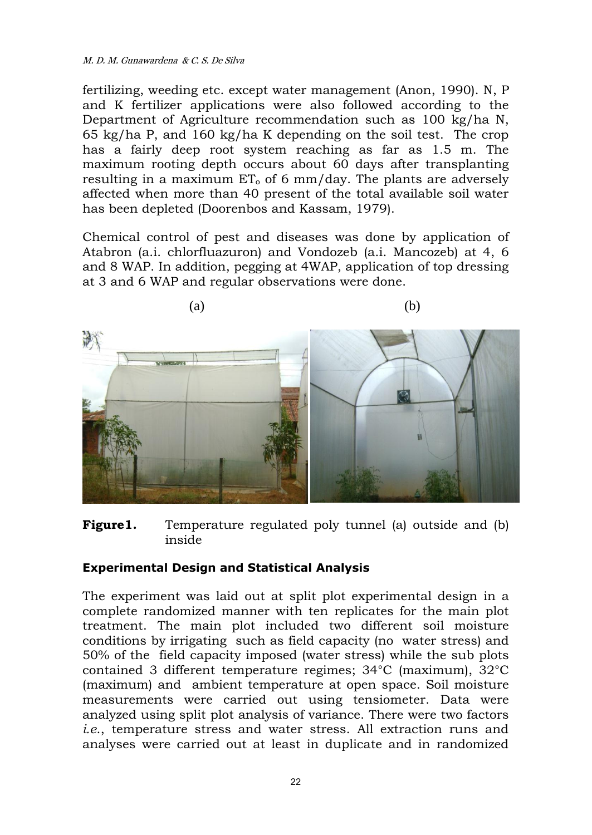fertilizing, weeding etc. except water management (Anon, 1990). N, P and K fertilizer applications were also followed according to the Department of Agriculture recommendation such as 100 kg/ha N, 65 kg/ha P, and 160 kg/ha K depending on the soil test. The crop has a fairly deep root system reaching as far as 1.5 m. The maximum rooting depth occurs about 60 days after transplanting resulting in a maximum  $ET_0$  of 6 mm/day. The plants are adversely affected when more than 40 present of the total available soil water has been depleted (Doorenbos and Kassam, 1979).

Chemical control of pest and diseases was done by application of Atabron (a.i. chlorfluazuron) and Vondozeb (a.i. Mancozeb) at 4, 6 and 8 WAP. In addition, pegging at 4WAP, application of top dressing at 3 and 6 WAP and regular observations were done.



**Figure1.** Temperature regulated poly tunnel (a) outside and (b) inside

### **Experimental Design and Statistical Analysis**

The experiment was laid out at split plot experimental design in a complete randomized manner with ten replicates for the main plot treatment. The main plot included two different soil moisture conditions by irrigating such as field capacity (no water stress) and 50% of the field capacity imposed (water stress) while the sub plots contained 3 different temperature regimes; 34°C (maximum), 32°C (maximum) and ambient temperature at open space. Soil moisture measurements were carried out using tensiometer. Data were analyzed using split plot analysis of variance. There were two factors *i.e*., temperature stress and water stress. All extraction runs and analyses were carried out at least in duplicate and in randomized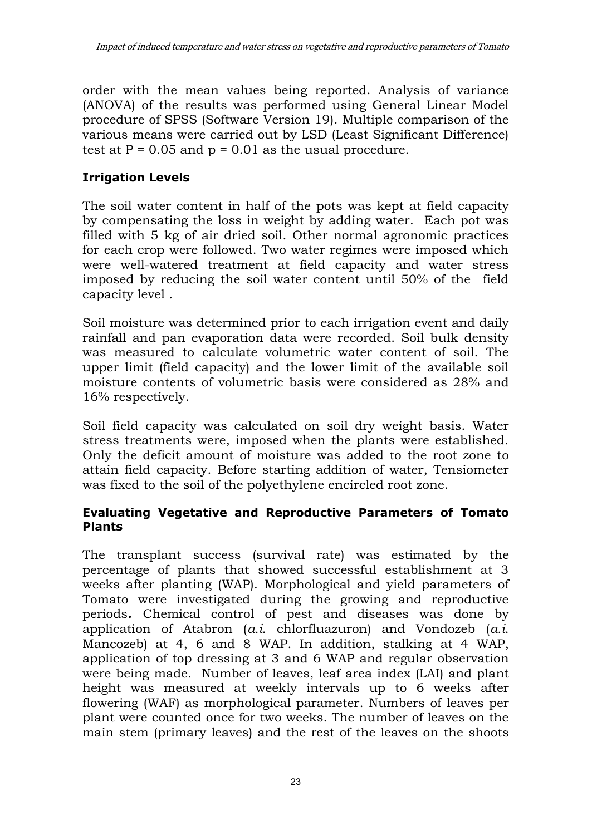order with the mean values being reported. Analysis of variance (ANOVA) of the results was performed using General Linear Model procedure of SPSS (Software Version 19). Multiple comparison of the various means were carried out by LSD (Least Significant Difference) test at  $P = 0.05$  and  $p = 0.01$  as the usual procedure.

# **Irrigation Levels**

The soil water content in half of the pots was kept at field capacity by compensating the loss in weight by adding water. Each pot was filled with 5 kg of air dried soil. Other normal agronomic practices for each crop were followed. Two water regimes were imposed which were well-watered treatment at field capacity and water stress imposed by reducing the soil water content until 50% of the field capacity level .

Soil moisture was determined prior to each irrigation event and daily rainfall and pan evaporation data were recorded. Soil bulk density was measured to calculate volumetric water content of soil. The upper limit (field capacity) and the lower limit of the available soil moisture contents of volumetric basis were considered as 28% and 16% respectively.

Soil field capacity was calculated on soil dry weight basis. Water stress treatments were, imposed when the plants were established. Only the deficit amount of moisture was added to the root zone to attain field capacity. Before starting addition of water, Tensiometer was fixed to the soil of the polyethylene encircled root zone.

### **Evaluating Vegetative and Reproductive Parameters of Tomato Plants**

The transplant success (survival rate) was estimated by the percentage of plants that showed successful establishment at 3 weeks after planting (WAP). Morphological and yield parameters of Tomato were investigated during the growing and reproductive periods**.** Chemical control of pest and diseases was done by application of Atabron (*a.i*. chlorfluazuron) and Vondozeb (*a.i*. Mancozeb) at 4, 6 and 8 WAP. In addition, stalking at 4 WAP, application of top dressing at 3 and 6 WAP and regular observation were being made. Number of leaves, leaf area index (LAI) and plant height was measured at weekly intervals up to 6 weeks after flowering (WAF) as morphological parameter. Numbers of leaves per plant were counted once for two weeks. The number of leaves on the main stem (primary leaves) and the rest of the leaves on the shoots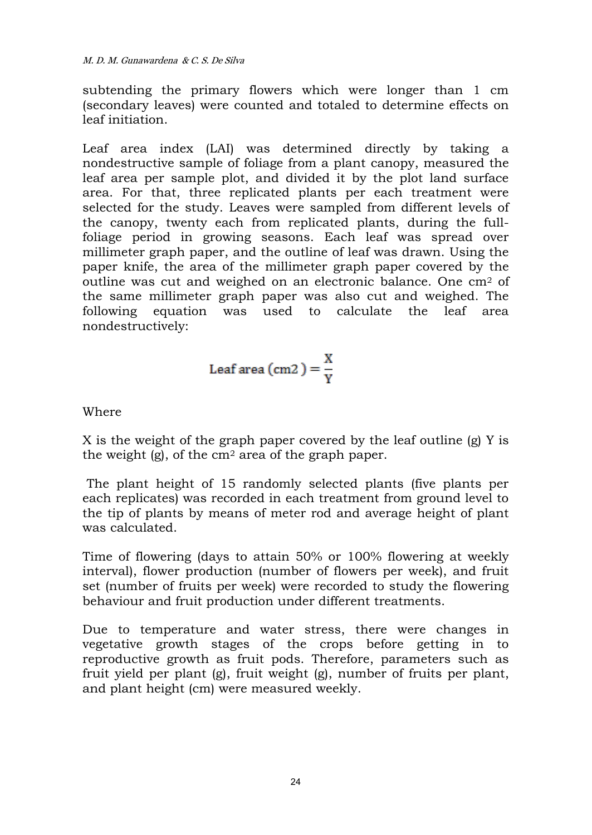subtending the primary flowers which were longer than 1 cm (secondary leaves) were counted and totaled to determine effects on leaf initiation.

Leaf area index (LAI) was determined directly by taking a nondestructive sample of foliage from a plant canopy, measured the leaf area per sample plot, and divided it by the plot land surface area. For that, three replicated plants per each treatment were selected for the study. Leaves were sampled from different levels of the canopy, twenty each from replicated plants, during the fullfoliage period in growing seasons. Each leaf was spread over millimeter graph paper, and the outline of leaf was drawn. Using the paper knife, the area of the millimeter graph paper covered by the outline was cut and weighed on an electronic balance. One cm<sup>2</sup> of the same millimeter graph paper was also cut and weighed. The following equation was used to calculate the leaf area nondestructively:

$$
Leaf area (cm2) = \frac{X}{Y}
$$

Where

X is the weight of the graph paper covered by the leaf outline (g) Y is the weight  $(g)$ , of the cm<sup>2</sup> area of the graph paper.

The plant height of 15 randomly selected plants (five plants per each replicates) was recorded in each treatment from ground level to the tip of plants by means of meter rod and average height of plant was calculated.

Time of flowering (days to attain 50% or 100% flowering at weekly interval), flower production (number of flowers per week), and fruit set (number of fruits per week) were recorded to study the flowering behaviour and fruit production under different treatments.

Due to temperature and water stress, there were changes in vegetative growth stages of the crops before getting in to reproductive growth as fruit pods. Therefore, parameters such as fruit yield per plant (g), fruit weight (g), number of fruits per plant, and plant height (cm) were measured weekly.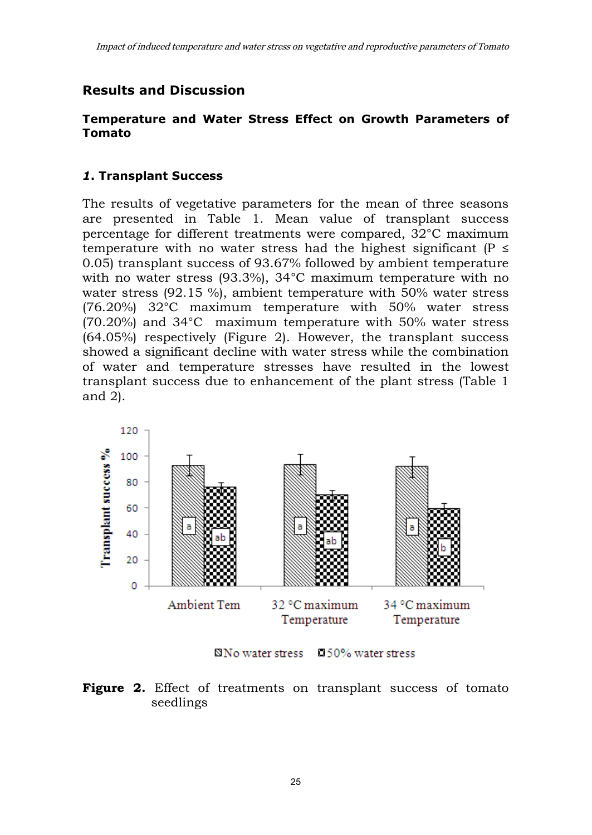### **Results and Discussion**

#### **Temperature and Water Stress Effect on Growth Parameters of Tomato**

#### *1***. Transplant Success**

The results of vegetative parameters for the mean of three seasons are presented in Table 1. Mean value of transplant success percentage for different treatments were compared, 32°C maximum temperature with no water stress had the highest significant ( $P \leq$ 0.05) transplant success of 93.67% followed by ambient temperature with no water stress (93.3%), 34°C maximum temperature with no water stress (92.15 %), ambient temperature with 50% water stress (76.20%) 32°C maximum temperature with 50% water stress (70.20%) and 34°C maximum temperature with 50% water stress (64.05%) respectively (Figure 2). However, the transplant success showed a significant decline with water stress while the combination of water and temperature stresses have resulted in the lowest transplant success due to enhancement of the plant stress (Table 1 and 2).



⊠No water stress □ 50% water stress

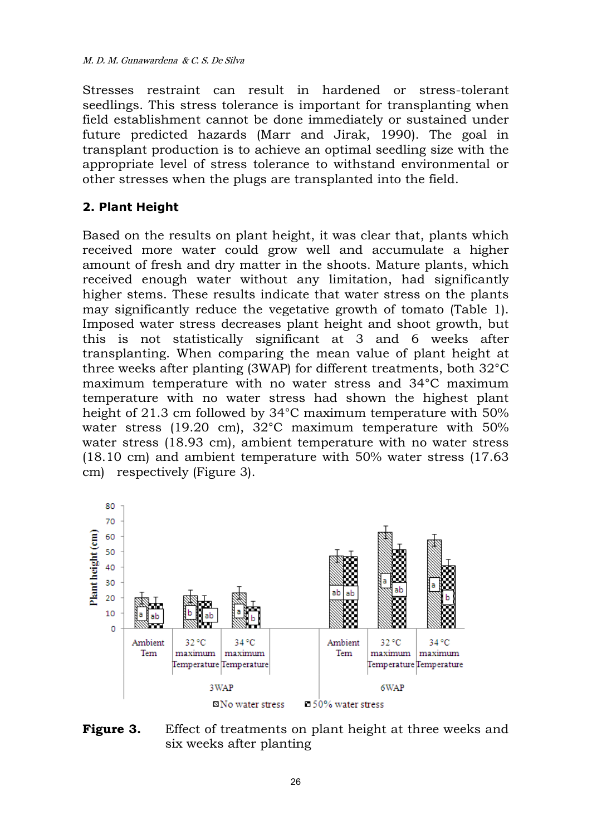Stresses restraint can result in hardened or stress-tolerant seedlings. This stress tolerance is important for transplanting when field establishment cannot be done immediately or sustained under future predicted hazards (Marr and Jirak, 1990). The goal in transplant production is to achieve an optimal seedling size with the appropriate level of stress tolerance to withstand environmental or other stresses when the plugs are transplanted into the field.

### **2. Plant Height**

Based on the results on plant height, it was clear that, plants which received more water could grow well and accumulate a higher amount of fresh and dry matter in the shoots. Mature plants, which received enough water without any limitation, had significantly higher stems. These results indicate that water stress on the plants may significantly reduce the vegetative growth of tomato (Table 1). Imposed water stress decreases plant height and shoot growth, but this is not statistically significant at 3 and 6 weeks after transplanting. When comparing the mean value of plant height at three weeks after planting (3WAP) for different treatments, both 32°C maximum temperature with no water stress and 34°C maximum temperature with no water stress had shown the highest plant height of 21.3 cm followed by 34°C maximum temperature with 50% water stress (19.20 cm), 32°C maximum temperature with 50% water stress (18.93 cm), ambient temperature with no water stress (18.10 cm) and ambient temperature with 50% water stress (17.63 cm) respectively (Figure 3).



**Figure 3.** Effect of treatments on plant height at three weeks and six weeks after planting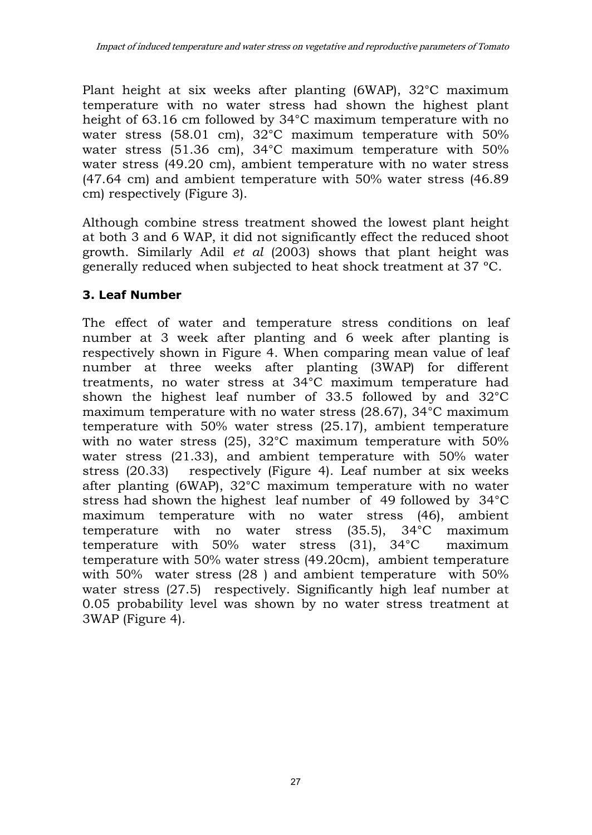Plant height at six weeks after planting (6WAP), 32°C maximum temperature with no water stress had shown the highest plant height of 63.16 cm followed by 34°C maximum temperature with no water stress (58.01 cm),  $32^{\circ}$ C maximum temperature with 50% water stress (51.36 cm), 34°C maximum temperature with 50% water stress (49.20 cm), ambient temperature with no water stress (47.64 cm) and ambient temperature with 50% water stress (46.89 cm) respectively (Figure 3).

Although combine stress treatment showed the lowest plant height at both 3 and 6 WAP, it did not significantly effect the reduced shoot growth. Similarly Adil *et al* (2003) shows that plant height was generally reduced when subjected to heat shock treatment at 37 ºC.

### **3. Leaf Number**

The effect of water and temperature stress conditions on leaf number at 3 week after planting and 6 week after planting is respectively shown in Figure 4. When comparing mean value of leaf number at three weeks after planting (3WAP) for different treatments, no water stress at 34°C maximum temperature had shown the highest leaf number of 33.5 followed by and 32°C maximum temperature with no water stress (28.67), 34°C maximum temperature with 50% water stress (25.17), ambient temperature with no water stress (25), 32°C maximum temperature with 50% water stress (21.33), and ambient temperature with 50% water stress (20.33) respectively (Figure 4). Leaf number at six weeks after planting (6WAP), 32°C maximum temperature with no water stress had shown the highest leaf number of 49 followed by 34°C maximum temperature with no water stress (46), ambient temperature with no water stress (35.5), 34°C maximum temperature with 50% water stress (31), 34°C maximum temperature with 50% water stress (49.20cm), ambient temperature with 50% water stress (28 ) and ambient temperature with 50% water stress (27.5) respectively. Significantly high leaf number at 0.05 probability level was shown by no water stress treatment at 3WAP (Figure 4).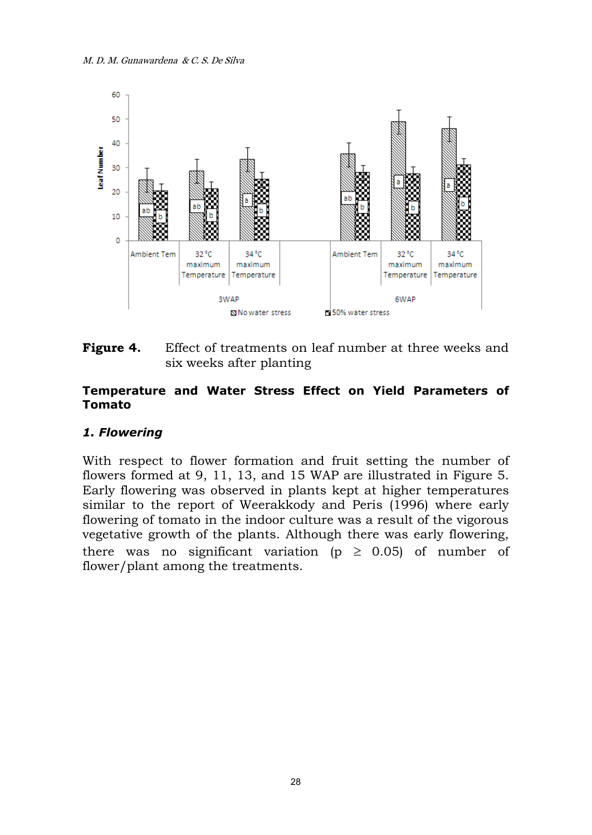

**Figure 4.** Effect of treatments on leaf number at three weeks and six weeks after planting

#### **Temperature and Water Stress Effect on Yield Parameters of Tomato**

### *1. Flowering*

With respect to flower formation and fruit setting the number of flowers formed at 9, 11, 13, and 15 WAP are illustrated in Figure 5. Early flowering was observed in plants kept at higher temperatures similar to the report of Weerakkody and Peris (1996) where early flowering of tomato in the indoor culture was a result of the vigorous vegetative growth of the plants. Although there was early flowering, there was no significant variation ( $p \geq 0.05$ ) of number of flower/plant among the treatments.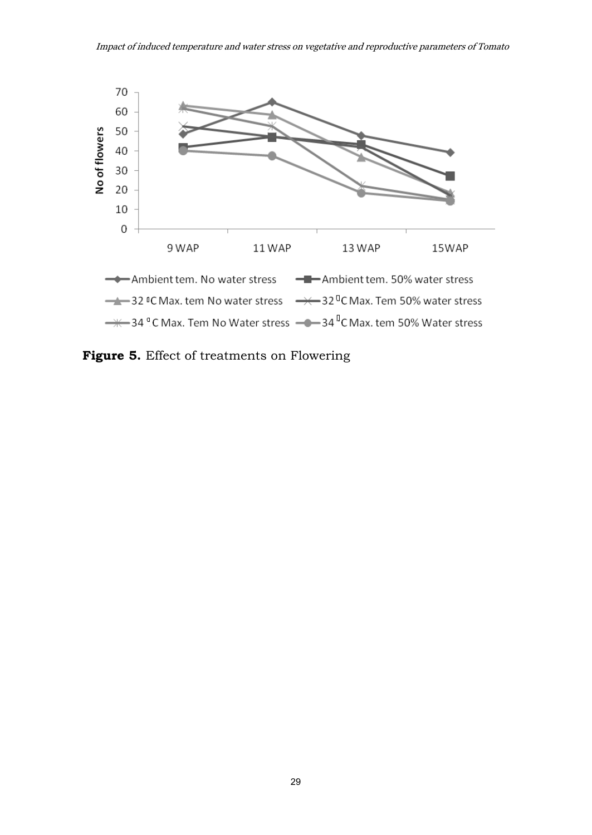

**Figure 5.** Effect of treatments on Flowering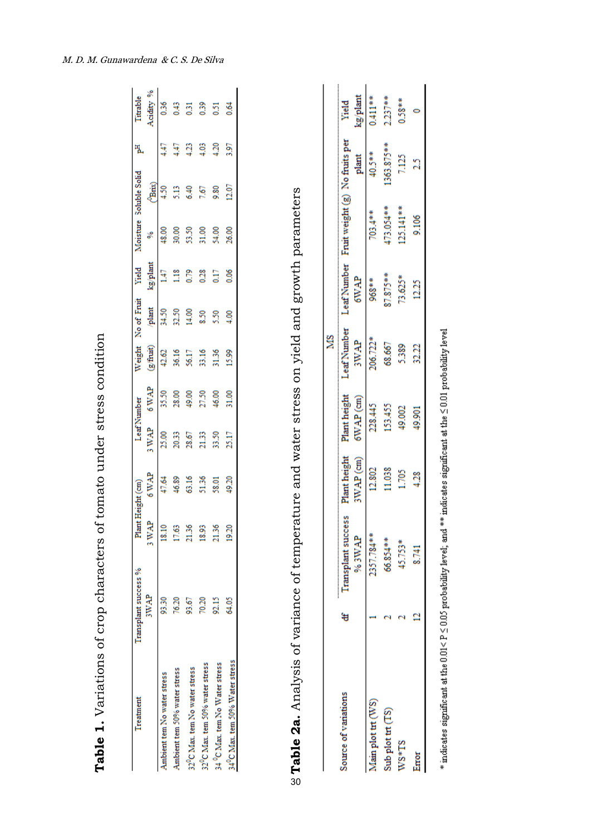| Treatment                                  | Transplant success %    | Plant Height (cm) |              | Leaf Number |       | Weight    | No of Fruit   | Yield    |        | foisture Soluble Solid | ቼ    |                  |
|--------------------------------------------|-------------------------|-------------------|--------------|-------------|-------|-----------|---------------|----------|--------|------------------------|------|------------------|
|                                            | p<br>3WA                | WAP               | <b>AVWAP</b> | <b>SWAP</b> | 6WAP  | (g/fruit) | plant         | kg/plant |        | Panx)                  |      | <b>Noidity %</b> |
| Ambient tem No water stress                | 93.30                   | 8.10              | 47.64        | 25.00       | 35.50 | 42.62     | \$4.50        | Ξ        | 48.00  | $^{50}$                | 4.47 | 0.36             |
| Ambient tem 50% water stress               |                         | 17.63             | 46.89        | 20.33       | 28.00 | 36.16     | 32.50         | Ê        | 30.00  | 9                      | 4.47 | 0.43             |
| 32°C Max. tem No water stress              | 93.6                    | 21.36             | 63.16        | 28.67       | 49.00 | 56.17     | 60.11         | 0.79     | 53.50  | 6.40                   | ន្ទ  | $\overline{5}$   |
| 32°C Max. tem 50% water stress             |                         | 18.93             | 51.36        | 21.33       | 27.50 | 33.16     | 8.50          | 0.28     | \$1.00 | 7.67                   | 4.03 | 0.39             |
| 34 <sup>9</sup> C Max. tem No Water stress | $\overline{\mathbb{R}}$ | 21.36             | 58.01        | 33.50       | 46.00 | 31.36     | 5.50          | 51       | 54.00  | 9.80                   | 4.20 | $\overline{51}$  |
| 34°C Max. tem 50% Water stress             | 64.05                   | 1920              | 49.20        | 25.17       | 31.00 | 15.99     | $\frac{6}{4}$ | 0.06     | 26.00  | 12.07                  | 3.97 | 54               |
|                                            |                         |                   |              |             |       |           |               |          |        |                        |      |                  |

**Table 1.** Variations of crop characters of tomato under stress condition

Table 1. Variations of crop characters of tomato under stress condition

| ĺ                               |
|---------------------------------|
| - 1444042<br>)                  |
| ĺ                               |
| c contrasts c<br>$\overline{a}$ |
|                                 |
|                                 |
| -<br>><br>><br>きりょうこう うらり りょうしゅ |
| י<br>ו<br>$\frac{1}{2}$         |
| Ó<br>ĺ<br>;<br>;<br>;<br>;<br>; |
|                                 |
| į                               |
| :<br>:                          |
|                                 |
| Ï                               |
|                                 |
| i<br>i                          |
| I<br>C                          |
| ŕ<br>i                          |

30

|                      |   |                             |                          |                             | S                                     |                            |                    |                        |                   |
|----------------------|---|-----------------------------|--------------------------|-----------------------------|---------------------------------------|----------------------------|--------------------|------------------------|-------------------|
| Source of variations | ₩ | Transplant success<br>%3WAP | Plant height<br>WAP (cm) | Plant height<br>$6WAP$ (cm) | Leaf Number<br><b>AVW<sub>3</sub></b> | Leaf Number<br><b>GWAP</b> | Fruit weight $(g)$ | No fruits per<br>plant | kg/plant<br>Yield |
| Aain plot trt (WS)   |   | 357.784**                   | 12.802                   | 28.445                      | 06.722*                               | **896                      | $^{103.4***}$      | 40.5**                 | $0.411***$        |
| Sub plot trt (TS)    |   | 56.854***                   | 1.038                    | 53,455                      | 68.667                                | $7.875***$                 | 73.054**           | 363.875**              | $237***$          |
| $NS*TS$              |   | 15.753*                     |                          | 19.002                      | 385                                   | $3.625*$                   | $25.141***$        |                        | $0.58***$         |
| Error                |   | 8.741                       |                          | 19.901                      | ຊ                                     |                            | 9,106              |                        |                   |
|                      |   |                             |                          |                             |                                       |                            |                    |                        |                   |

 $*$  indicates significant at the 0.01< P  $\leq$  0.05 probability level; and  $**$  indicates significant at the  $\leq$  0.01 probability level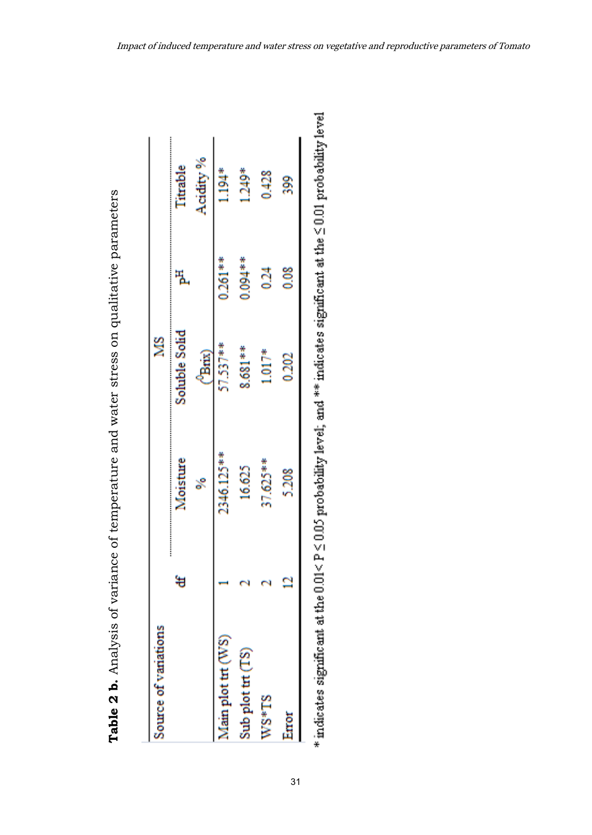| Source of variations |   |            | ⋚             |            |           |
|----------------------|---|------------|---------------|------------|-----------|
|                      | ₩ | Moisture   | Soluble Solid | 뛈          | Titrable  |
|                      |   | ℅          | ("Brix)       |            | Acidity % |
| Main plot trt (WS)   |   | 2346.125** | 57.537**      | $0.261***$ | $194*$    |
| Sub plot $tr(TS)$    |   | 16.625     | 8.681**       | $0.094***$ | 1.249*    |
| $W_{S+TS}$           |   | $37.625**$ | $1.017*$      | 0.24       | 0.428     |
| Error                |   | 5.208      | 0.202         | 0.08       | 399       |

| ;<br>;<br>こくらもく<br>)<br>                                                                   |
|--------------------------------------------------------------------------------------------|
| ;<br>;<br>;<br>;<br>;                                                                      |
| į<br>こう りそうせつそう うろうりょう うりょう うそうさん<br>$\overline{\mathbf{1}}$                               |
|                                                                                            |
| í                                                                                          |
| i<br>֧֧ׅ֧ׅ֧֧ׅ֧ׅ֧ׅ֧ׅ֧֧ׅ֧ׅ֧֧֧֧֧֧֪֧֧֪֧֧֧֧֧֚֚֚֚֚֚֚֚֚֚֚֚֚֚֚֚֚֚֚֚֚֚֚֚֚֚֚֚֝֝֜֓֝֓֝֜֜֜֝֬֜֜֝֬֝֝֝֝֝֝֝ |
| .<br>I                                                                                     |
| ć<br>l                                                                                     |

31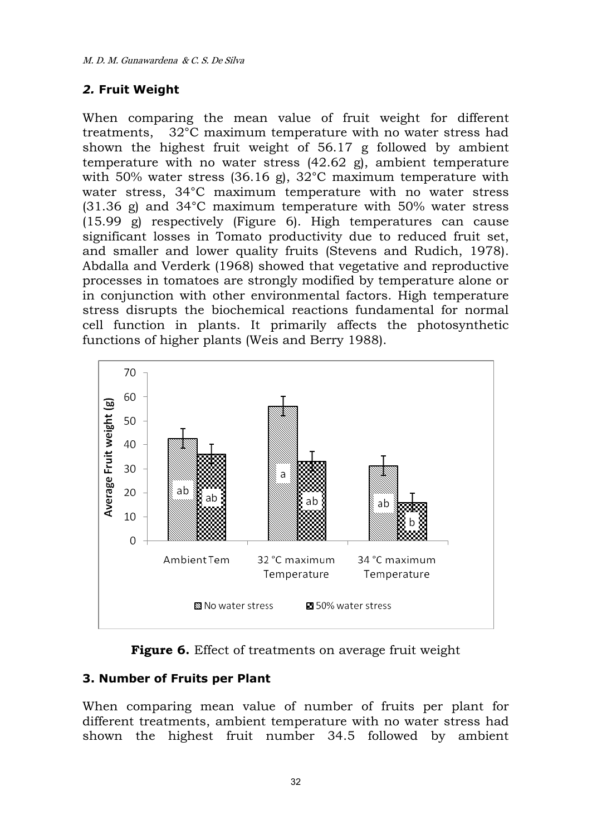### *2.* **Fruit Weight**

When comparing the mean value of fruit weight for different treatments, 32°C maximum temperature with no water stress had shown the highest fruit weight of 56.17 g followed by ambient temperature with no water stress (42.62 g), ambient temperature with 50% water stress (36.16 g), 32°C maximum temperature with water stress, 34°C maximum temperature with no water stress (31.36 g) and 34°C maximum temperature with 50% water stress (15.99 g) respectively (Figure 6). High temperatures can cause significant losses in Tomato productivity due to reduced fruit set, and smaller and lower quality fruits (Stevens and Rudich, 1978). Abdalla and Verderk (1968) showed that vegetative and reproductive processes in tomatoes are strongly modified by temperature alone or in conjunction with other environmental factors. High temperature stress disrupts the biochemical reactions fundamental for normal cell function in plants. It primarily affects the photosynthetic functions of higher plants (Weis and Berry 1988).



**Figure 6.** Effect of treatments on average fruit weight

### **3. Number of Fruits per Plant**

When comparing mean value of number of fruits per plant for different treatments, ambient temperature with no water stress had shown the highest fruit number 34.5 followed by ambient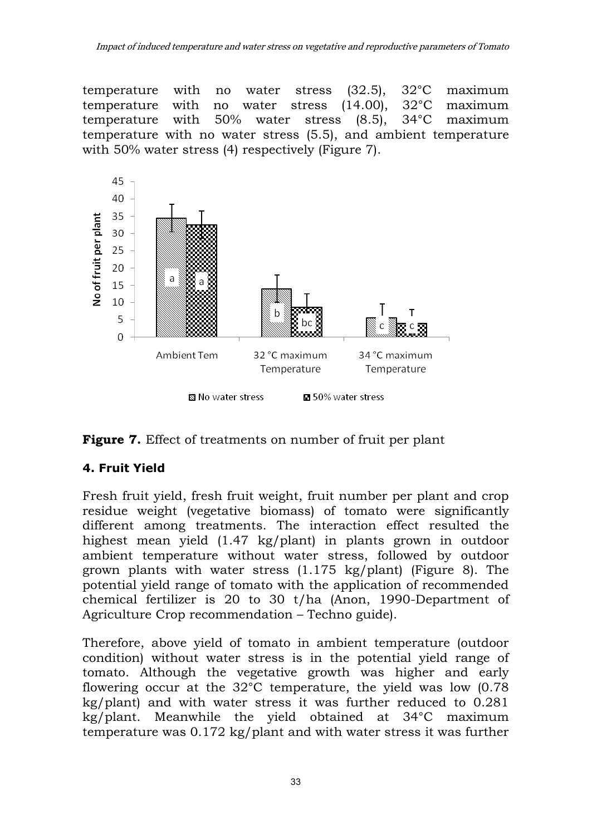temperature with no water stress (32.5), 32°C maximum temperature with no water stress (14.00), 32°C maximum temperature with 50% water stress (8.5), 34°C maximum temperature with no water stress (5.5), and ambient temperature with 50% water stress (4) respectively (Figure 7).





# **4. Fruit Yield**

Fresh fruit yield, fresh fruit weight, fruit number per plant and crop residue weight (vegetative biomass) of tomato were significantly different among treatments. The interaction effect resulted the highest mean yield (1.47 kg/plant) in plants grown in outdoor ambient temperature without water stress, followed by outdoor grown plants with water stress (1.175 kg/plant) (Figure 8). The potential yield range of tomato with the application of recommended chemical fertilizer is 20 to 30 t/ha (Anon, 1990-Department of Agriculture Crop recommendation – Techno guide).

Therefore, above yield of tomato in ambient temperature (outdoor condition) without water stress is in the potential yield range of tomato. Although the vegetative growth was higher and early flowering occur at the 32°C temperature, the yield was low (0.78 kg/plant) and with water stress it was further reduced to 0.281 kg/plant. Meanwhile the yield obtained at 34°C maximum temperature was 0.172 kg/plant and with water stress it was further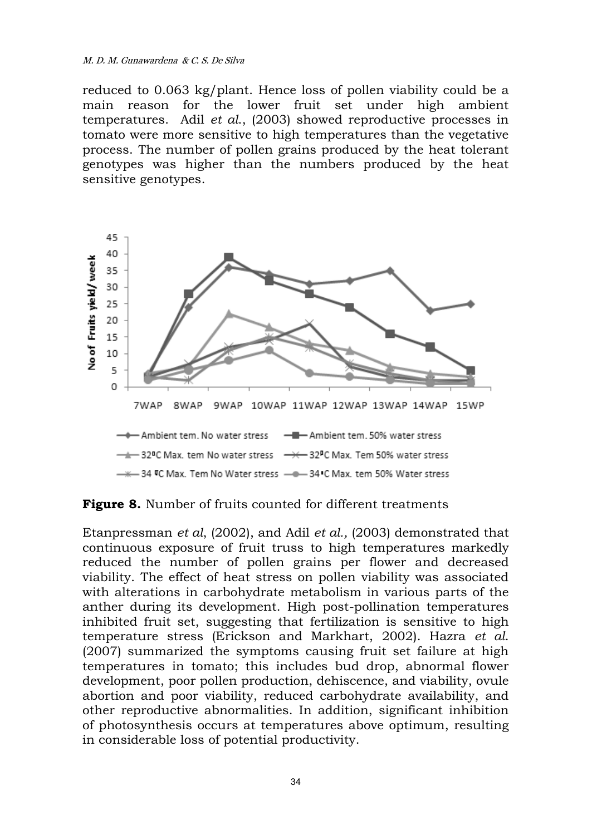#### M. D. M. Gunawardena & C. S. De Silva

reduced to 0.063 kg/plant. Hence loss of pollen viability could be a main reason for the lower fruit set under high ambient temperatures. Adil *et al*., (2003) showed reproductive processes in tomato were more sensitive to high temperatures than the vegetative process. The number of pollen grains produced by the heat tolerant genotypes was higher than the numbers produced by the heat sensitive genotypes.



**Figure 8.** Number of fruits counted for different treatments

Etanpressman *et al*, (2002), and Adil *et al.,* (2003) demonstrated that continuous exposure of fruit truss to high temperatures markedly reduced the number of pollen grains per flower and decreased viability. The effect of heat stress on pollen viability was associated with alterations in carbohydrate metabolism in various parts of the anther during its development. High post-pollination temperatures inhibited fruit set, suggesting that fertilization is sensitive to high temperature stress (Erickson and Markhart, 2002). Hazra *et al*. (2007) summarized the symptoms causing fruit set failure at high temperatures in tomato; this includes bud drop, abnormal flower development, poor pollen production, dehiscence, and viability, ovule abortion and poor viability, reduced carbohydrate availability, and other reproductive abnormalities. In addition, significant inhibition of photosynthesis occurs at temperatures above optimum, resulting in considerable loss of potential productivity.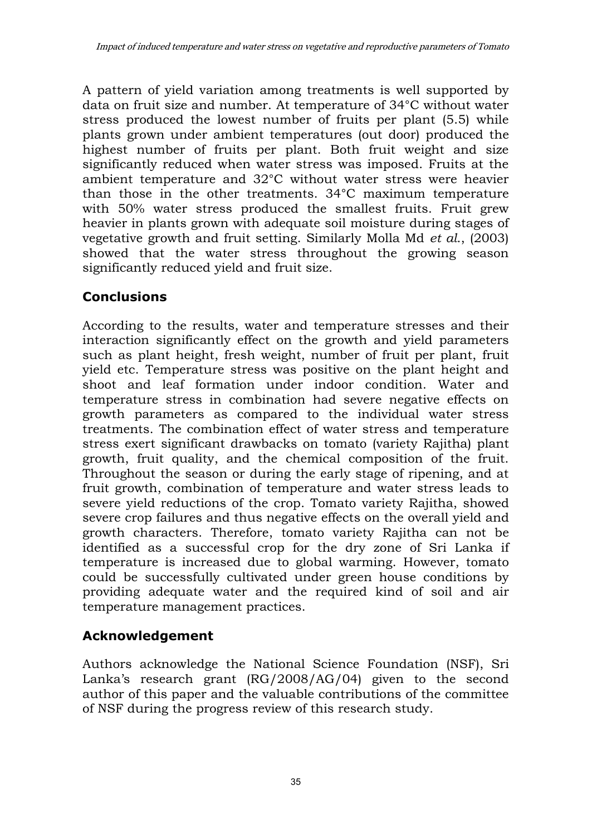A pattern of yield variation among treatments is well supported by data on fruit size and number. At temperature of 34°C without water stress produced the lowest number of fruits per plant (5.5) while plants grown under ambient temperatures (out door) produced the highest number of fruits per plant. Both fruit weight and size significantly reduced when water stress was imposed. Fruits at the ambient temperature and 32°C without water stress were heavier than those in the other treatments. 34°C maximum temperature with 50% water stress produced the smallest fruits. Fruit grew heavier in plants grown with adequate soil moisture during stages of vegetative growth and fruit setting. Similarly Molla Md *et al*., (2003) showed that the water stress throughout the growing season significantly reduced yield and fruit size.

# **Conclusions**

According to the results, water and temperature stresses and their interaction significantly effect on the growth and yield parameters such as plant height, fresh weight, number of fruit per plant, fruit yield etc. Temperature stress was positive on the plant height and shoot and leaf formation under indoor condition. Water and temperature stress in combination had severe negative effects on growth parameters as compared to the individual water stress treatments. The combination effect of water stress and temperature stress exert significant drawbacks on tomato (variety Rajitha) plant growth, fruit quality, and the chemical composition of the fruit. Throughout the season or during the early stage of ripening, and at fruit growth, combination of temperature and water stress leads to severe yield reductions of the crop. Tomato variety Rajitha, showed severe crop failures and thus negative effects on the overall yield and growth characters. Therefore, tomato variety Rajitha can not be identified as a successful crop for the dry zone of Sri Lanka if temperature is increased due to global warming. However, tomato could be successfully cultivated under green house conditions by providing adequate water and the required kind of soil and air temperature management practices.

# **Acknowledgement**

Authors acknowledge the National Science Foundation (NSF), Sri Lanka's research grant (RG/2008/AG/04) given to the second author of this paper and the valuable contributions of the committee of NSF during the progress review of this research study.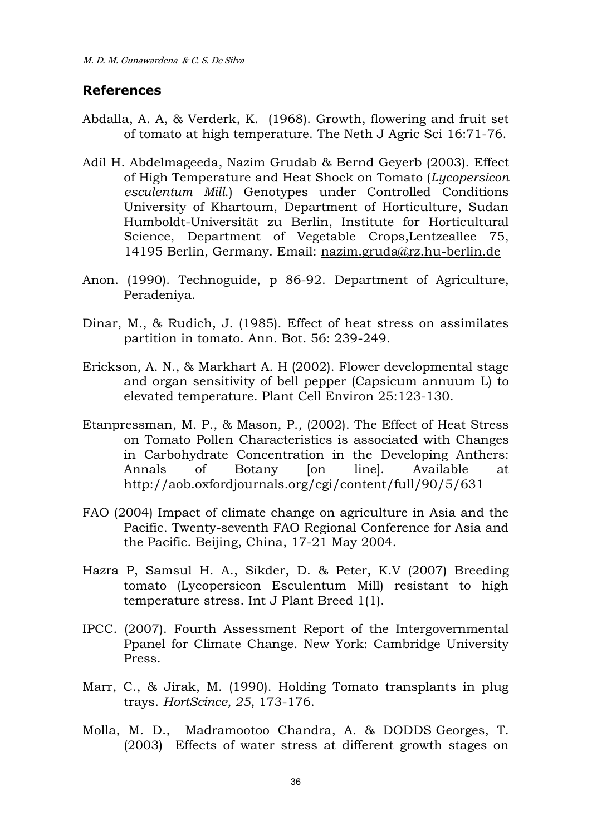#### **References**

- Abdalla, A. A, & Verderk, K. (1968). Growth, flowering and fruit set of tomato at high temperature. The Neth J Agric Sci 16:71-76.
- Adil H. Abdelmageeda, Nazim Grudab & Bernd Geyerb (2003). Effect of High Temperature and Heat Shock on Tomato (*Lycopersicon esculentum Mill*.) Genotypes under Controlled Conditions University of Khartoum, Department of Horticulture, Sudan Humboldt-Universität zu Berlin, Institute for Horticultural Science, Department of Vegetable Crops, Lentzeallee 75, 14195 Berlin, Germany. Email: [nazim.gruda@rz.hu-berlin.de](mailto:nazim.gruda@rz.hu-berlin.de)
- Anon. (1990). Technoguide, p 86-92. Department of Agriculture, Peradeniya.
- Dinar, M., & Rudich, J. (1985). Effect of heat stress on assimilates partition in tomato. Ann. Bot. 56: 239-249.
- Erickson, A. N., & Markhart A. H (2002). Flower developmental stage and organ sensitivity of bell pepper (Capsicum annuum L) to elevated temperature. Plant Cell Environ 25:123-130.
- Etanpressman, M. P., & Mason, P., (2002). The Effect of Heat Stress on Tomato Pollen Characteristics is associated with Changes in Carbohydrate Concentration in the Developing Anthers: Annals of Botany [on line]. Available at <http://aob.oxfordjournals.org/cgi/content/full/90/5/631>
- FAO (2004) Impact of climate change on agriculture in Asia and the Pacific. Twenty-seventh FAO Regional Conference for Asia and the Pacific. Beijing, China, 17-21 May 2004.
- Hazra P, Samsul H. A., Sikder, D. & Peter, K.V (2007) Breeding tomato (Lycopersicon Esculentum Mill) resistant to high temperature stress. Int J Plant Breed 1(1).
- IPCC. (2007). Fourth Assessment Report of the Intergovernmental Ppanel for Climate Change. New York: Cambridge University Press.
- Marr, C., & Jirak, M. (1990). Holding Tomato transplants in plug trays. *HortScince, 25*, 173-176.
- Molla, M. D., Madramootoo Chandra, A. & DODDS Georges, T. (2003) Effects of water stress at different growth stages on